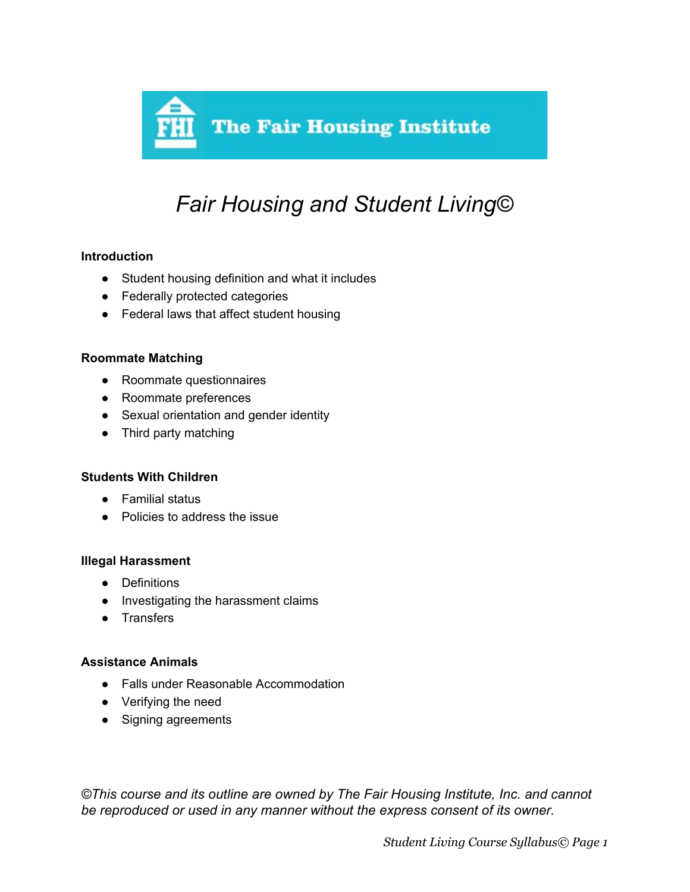

# *Fair Housing and Student Living©*

## **Introduction**

- Student housing definition and what it includes
- Federally protected categories
- Federal laws that affect student housing

#### **Roommate Matching**

- Roommate questionnaires
- Roommate preferences
- Sexual orientation and gender identity
- Third party matching

#### **Students With Children**

- Familial status
- Policies to address the issue

#### **Illegal Harassment**

- Definitions
- Investigating the harassment claims
- Transfers

#### **Assistance Animals**

- Falls under Reasonable Accommodation
- Verifying the need
- Signing agreements

*©This course and its outline are owned by The Fair Housing Institute, Inc. and cannot be reproduced or used in any manner without the express consent of its owner.*